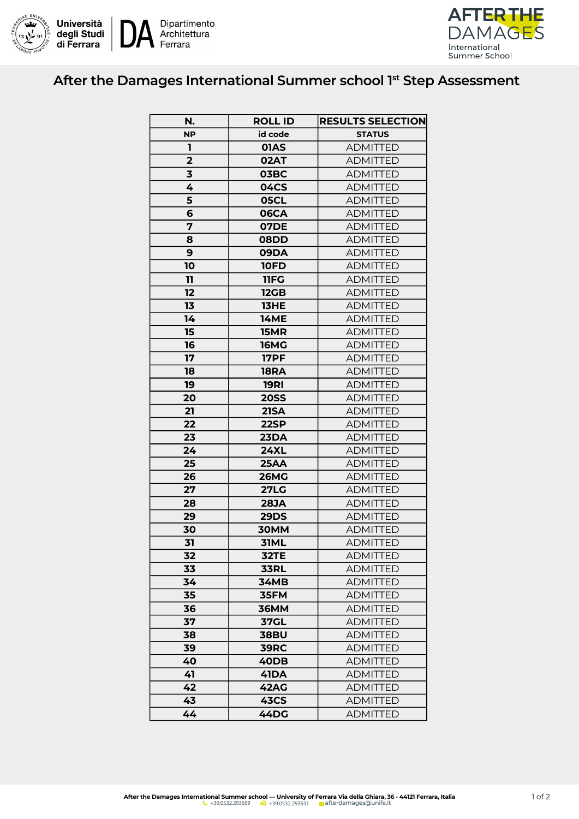



## After the Damages International Summer school 1st Step Assessment

| N.                      | <b>ROLL ID</b> | <b>RESULTS SELECTION</b> |
|-------------------------|----------------|--------------------------|
| <b>NP</b>               | id code        | <b>STATUS</b>            |
| ı                       | 01AS           | <b>ADMITTED</b>          |
| $\overline{\mathbf{2}}$ | 02AT           | <b>ADMITTED</b>          |
| 3                       | <b>03BC</b>    | <b>ADMITTED</b>          |
| 4                       | <b>04CS</b>    | <b>ADMITTED</b>          |
| 5                       | 05CL           | <b>ADMITTED</b>          |
| 6                       | <b>06CA</b>    | <b>ADMITTED</b>          |
| 7                       | <b>07DE</b>    | <b>ADMITTED</b>          |
| 8                       | <b>08DD</b>    | <b>ADMITTED</b>          |
| 9                       | 09DA           | <b>ADMITTED</b>          |
| 10                      | <b>10FD</b>    | <b>ADMITTED</b>          |
| 11                      | 11FG           | <b>ADMITTED</b>          |
| 12                      | <b>12GB</b>    | <b>ADMITTED</b>          |
| 13                      | <b>13HE</b>    | <b>ADMITTED</b>          |
| 14                      | <b>14ME</b>    | <b>ADMITTED</b>          |
| 15                      | <b>15MR</b>    | <b>ADMITTED</b>          |
| 16                      | <b>16MG</b>    | <b>ADMITTED</b>          |
| 17                      | <b>17PF</b>    | <b>ADMITTED</b>          |
| 18                      | <b>18RA</b>    | <b>ADMITTED</b>          |
| 19                      | <b>19RI</b>    | <b>ADMITTED</b>          |
| 20                      | <b>20SS</b>    | <b>ADMITTED</b>          |
| 21                      | <b>21SA</b>    | <b>ADMITTED</b>          |
| 22                      | 22SP           | <b>ADMITTED</b>          |
| 23                      | <b>23DA</b>    | <b>ADMITTED</b>          |
| 24                      | <b>24XL</b>    | <b>ADMITTED</b>          |
| 25                      | <b>25AA</b>    | <b>ADMITTED</b>          |
| 26                      | <b>26MG</b>    | <b>ADMITTED</b>          |
| 27                      | <b>27LG</b>    | <b>ADMITTED</b>          |
| 28                      | <b>28JA</b>    | <b>ADMITTED</b>          |
| 29                      | <b>29DS</b>    | <b>ADMITTED</b>          |
| 30                      | 30MM           | <b>ADMITTED</b>          |
| 31                      | 31ML           | <b>ADMITTED</b>          |
| 32                      | <b>32TE</b>    | <b>ADMITTED</b>          |
| 33                      | <b>33RL</b>    | <b>ADMITTED</b>          |
| 34                      | <b>34MB</b>    | <b>ADMITTED</b>          |
| 35                      | 35FM           | <b>ADMITTED</b>          |
| 36                      | <b>36MM</b>    | <b>ADMITTED</b>          |
| 37                      | <b>37GL</b>    | <b>ADMITTED</b>          |
| 38                      | <b>38BU</b>    | <b>ADMITTED</b>          |
| 39                      | <b>39RC</b>    | <b>ADMITTED</b>          |
| 40                      | 40DB           | <b>ADMITTED</b>          |
| 41                      | 41DA           | <b>ADMITTED</b>          |
| 42                      | <b>42AG</b>    | <b>ADMITTED</b>          |
| 43                      | <b>43CS</b>    | <b>ADMITTED</b>          |
| 44                      | 44DG           | <b>ADMITTED</b>          |